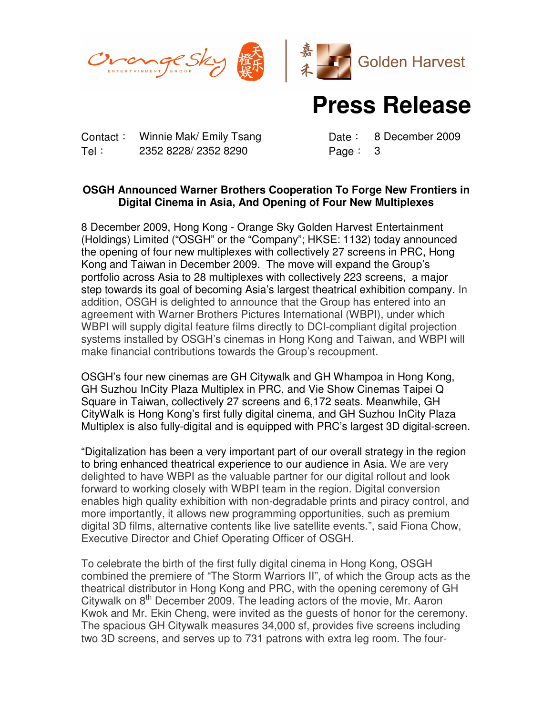



## **Press Release**

Contact: Winnie Mak/ Emily Tsang Date: 8 December 2009 Tel: 2352 8228/ 2352 8290 Page: 3

## **OSGH Announced Warner Brothers Cooperation To Forge New Frontiers in Digital Cinema in Asia, And Opening of Four New Multiplexes**

8 December 2009, Hong Kong - Orange Sky Golden Harvest Entertainment (Holdings) Limited ("OSGH" or the "Company"; HKSE: 1132) today announced the opening of four new multiplexes with collectively 27 screens in PRC, Hong Kong and Taiwan in December 2009. The move will expand the Group's portfolio across Asia to 28 multiplexes with collectively 223 screens, a major step towards its goal of becoming Asia's largest theatrical exhibition company. In addition, OSGH is delighted to announce that the Group has entered into an agreement with Warner Brothers Pictures International (WBPI), under which WBPI will supply digital feature films directly to DCI-compliant digital projection systems installed by OSGH's cinemas in Hong Kong and Taiwan, and WBPI will make financial contributions towards the Group's recoupment.

OSGH's four new cinemas are GH Citywalk and GH Whampoa in Hong Kong, GH Suzhou InCity Plaza Multiplex in PRC, and Vie Show Cinemas Taipei Q Square in Taiwan, collectively 27 screens and 6,172 seats. Meanwhile, GH CityWalk is Hong Kong's first fully digital cinema, and GH Suzhou InCity Plaza Multiplex is also fully-digital and is equipped with PRC's largest 3D digital-screen.

"Digitalization has been a very important part of our overall strategy in the region to bring enhanced theatrical experience to our audience in Asia. We are very delighted to have WBPI as the valuable partner for our digital rollout and look forward to working closely with WBPI team in the region. Digital conversion enables high quality exhibition with non-degradable prints and piracy control, and more importantly, it allows new programming opportunities, such as premium digital 3D films, alternative contents like live satellite events.", said Fiona Chow, Executive Director and Chief Operating Officer of OSGH.

To celebrate the birth of the first fully digital cinema in Hong Kong, OSGH combined the premiere of "The Storm Warriors II", of which the Group acts as the theatrical distributor in Hong Kong and PRC, with the opening ceremony of GH Citywalk on 8<sup>th</sup> December 2009. The leading actors of the movie, Mr. Aaron Kwok and Mr. Ekin Cheng, were invited as the guests of honor for the ceremony. The spacious GH Citywalk measures 34,000 sf, provides five screens including two 3D screens, and serves up to 731 patrons with extra leg room. The four-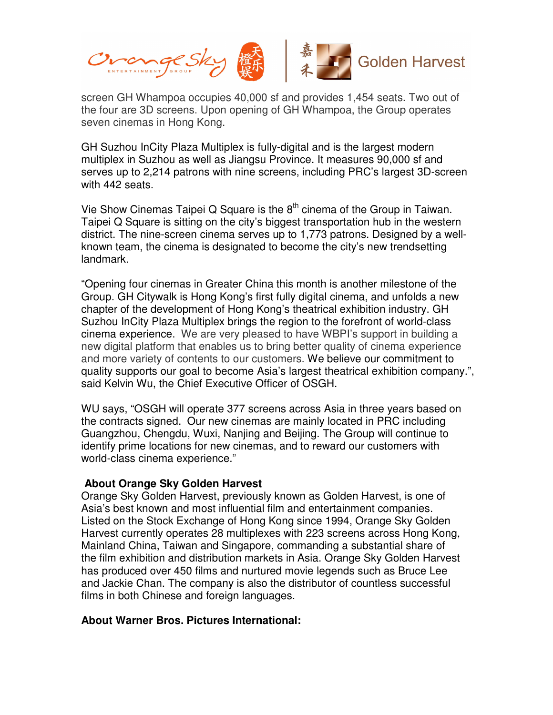

screen GH Whampoa occupies 40,000 sf and provides 1,454 seats. Two out of the four are 3D screens. Upon opening of GH Whampoa, the Group operates seven cinemas in Hong Kong.

GH Suzhou InCity Plaza Multiplex is fully-digital and is the largest modern multiplex in Suzhou as well as Jiangsu Province. It measures 90,000 sf and serves up to 2,214 patrons with nine screens, including PRC's largest 3D-screen with 442 seats.

Vie Show Cinemas Taipei Q Square is the  $8<sup>th</sup>$  cinema of the Group in Taiwan. Taipei Q Square is sitting on the city's biggest transportation hub in the western district. The nine-screen cinema serves up to 1,773 patrons. Designed by a wellknown team, the cinema is designated to become the city's new trendsetting landmark.

"Opening four cinemas in Greater China this month is another milestone of the Group. GH Citywalk is Hong Kong's first fully digital cinema, and unfolds a new chapter of the development of Hong Kong's theatrical exhibition industry. GH Suzhou InCity Plaza Multiplex brings the region to the forefront of world-class cinema experience. We are very pleased to have WBPI's support in building a new digital platform that enables us to bring better quality of cinema experience and more variety of contents to our customers. We believe our commitment to quality supports our goal to become Asia's largest theatrical exhibition company.", said Kelvin Wu, the Chief Executive Officer of OSGH.

WU says, "OSGH will operate 377 screens across Asia in three years based on the contracts signed. Our new cinemas are mainly located in PRC including Guangzhou, Chengdu, Wuxi, Nanjing and Beijing. The Group will continue to identify prime locations for new cinemas, and to reward our customers with world-class cinema experience."

## **About Orange Sky Golden Harvest**

Orange Sky Golden Harvest, previously known as Golden Harvest, is one of Asia's best known and most influential film and entertainment companies. Listed on the Stock Exchange of Hong Kong since 1994, Orange Sky Golden Harvest currently operates 28 multiplexes with 223 screens across Hong Kong, Mainland China, Taiwan and Singapore, commanding a substantial share of the film exhibition and distribution markets in Asia. Orange Sky Golden Harvest has produced over 450 films and nurtured movie legends such as Bruce Lee and Jackie Chan. The company is also the distributor of countless successful films in both Chinese and foreign languages.

## **About Warner Bros. Pictures International:**